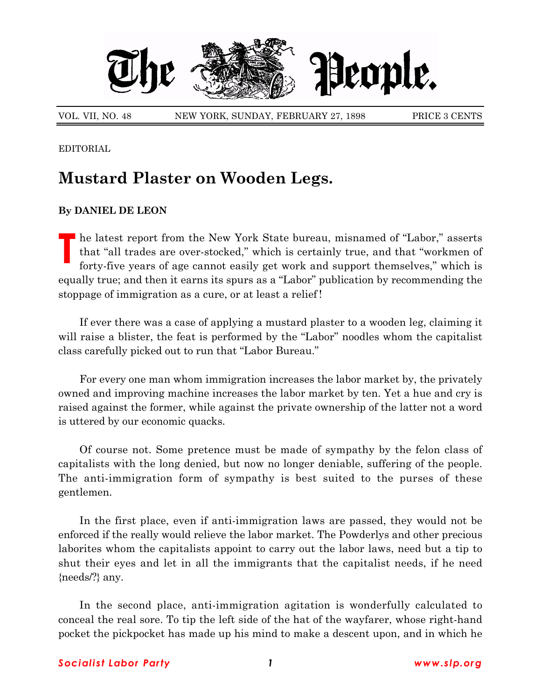

VOL. VII, NO. 48 NEW YORK, SUNDAY, FEBRUARY 27, 1898 PRICE 3 CENTS

EDITORIAL

## **Mustard Plaster on Wooden Legs.**

## **By DANIEL DE LEON**

**T** he latest report from the New York State bureau, misnamed of "Labor," asserts that "all trades are over-stocked," which is certainly true, and that "workmen of forty-five years of age cannot easily get work and support themselves," which is equally true; and then it earns its spurs as a "Labor" publication by recommending the stoppage of immigration as a cure, or at least a relief !

If ever there was a case of applying a mustard plaster to a wooden leg, claiming it will raise a blister, the feat is performed by the "Labor" noodles whom the capitalist class carefully picked out to run that "Labor Bureau."

For every one man whom immigration increases the labor market by, the privately owned and improving machine increases the labor market by ten. Yet a hue and cry is raised against the former, while against the private ownership of the latter not a word is uttered by our economic quacks.

Of course not. Some pretence must be made of sympathy by the felon class of capitalists with the long denied, but now no longer deniable, suffering of the people. The anti-immigration form of sympathy is best suited to the purses of these gentlemen.

In the first place, even if anti-immigration laws are passed, they would not be enforced if the really would relieve the labor market. The Powderlys and other precious laborites whom the capitalists appoint to carry out the labor laws, need but a tip to shut their eyes and let in all the immigrants that the capitalist needs, if he need {needs/?} any.

In the second place, anti-immigration agitation is wonderfully calculated to conceal the real sore. To tip the left side of the hat of the wayfarer, whose right-hand pocket the pickpocket has made up his mind to make a descent upon, and in which he